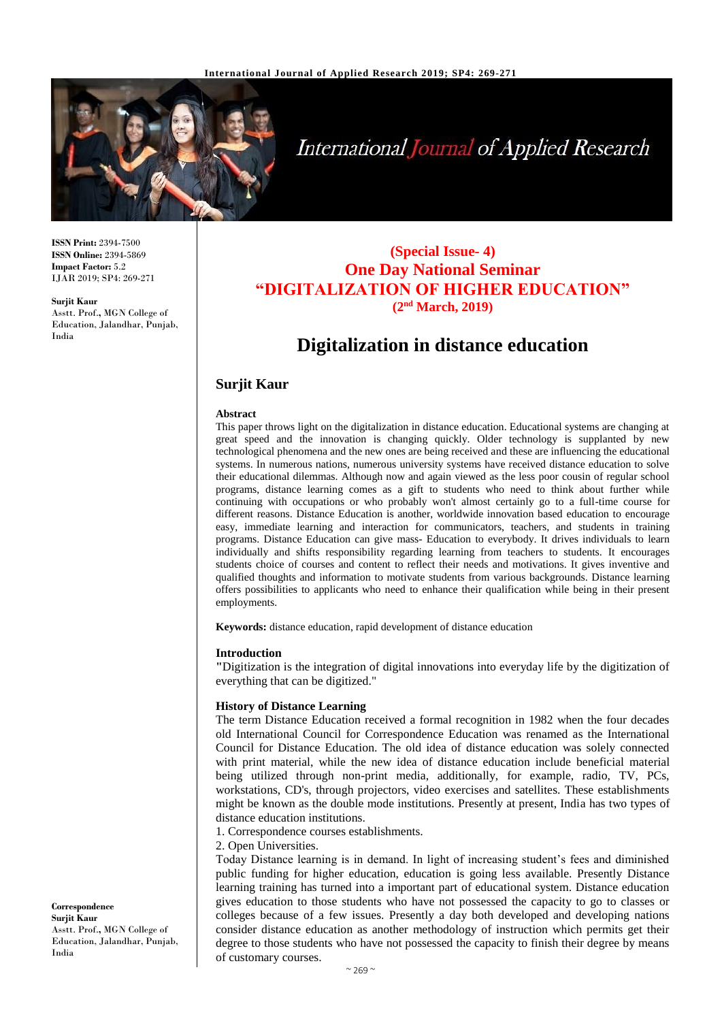

# **International Journal of Applied Research**

**ISSN Print:** 2394-7500 **ISSN Online:** 2394-5869 **Impact Factor:** 5.2 IJAR 2019; SP4: 269-271

**Surjit Kaur** Asstt. Prof.**,** MGN College of Education, Jalandhar, Punjab, India

**(Special Issue- 4) One Day National Seminar "DIGITALIZATION OF HIGHER EDUCATION" (2nd March, 2019)**

# **Digitalization in distance education**

# **Surjit Kaur**

#### **Abstract**

This paper throws light on the digitalization in distance education. Educational systems are changing at great speed and the innovation is changing quickly. Older technology is supplanted by new technological phenomena and the new ones are being received and these are influencing the educational systems. In numerous nations, numerous university systems have received distance education to solve their educational dilemmas. Although now and again viewed as the less poor cousin of regular school programs, distance learning comes as a gift to students who need to think about further while continuing with occupations or who probably won't almost certainly go to a full-time course for different reasons. Distance Education is another, worldwide innovation based education to encourage easy, immediate learning and interaction for communicators, teachers, and students in training programs. Distance Education can give mass- Education to everybody. It drives individuals to learn individually and shifts responsibility regarding learning from teachers to students. It encourages students choice of courses and content to reflect their needs and motivations. It gives inventive and qualified thoughts and information to motivate students from various backgrounds. Distance learning offers possibilities to applicants who need to enhance their qualification while being in their present employments.

**Keywords:** distance education, rapid development of distance education

#### **Introduction**

**"**Digitization is the integration of digital innovations into everyday life by the digitization of everything that can be digitized."

#### **History of Distance Learning**

The term Distance Education received a formal recognition in 1982 when the four decades old International Council for Correspondence Education was renamed as the International Council for Distance Education. The old idea of distance education was solely connected with print material, while the new idea of distance education include beneficial material being utilized through non-print media, additionally, for example, radio, TV, PCs, workstations, CD's, through projectors, video exercises and satellites. These establishments might be known as the double mode institutions. Presently at present, India has two types of distance education institutions.

1. Correspondence courses establishments.

2. Open Universities.

Today Distance learning is in demand. In light of increasing student's fees and diminished public funding for higher education, education is going less available. Presently Distance learning training has turned into a important part of educational system. Distance education gives education to those students who have not possessed the capacity to go to classes or colleges because of a few issues. Presently a day both developed and developing nations consider distance education as another methodology of instruction which permits get their degree to those students who have not possessed the capacity to finish their degree by means of customary courses.

**Correspondence Surjit Kaur** Asstt. Prof.**,** MGN College of Education, Jalandhar, Punjab, India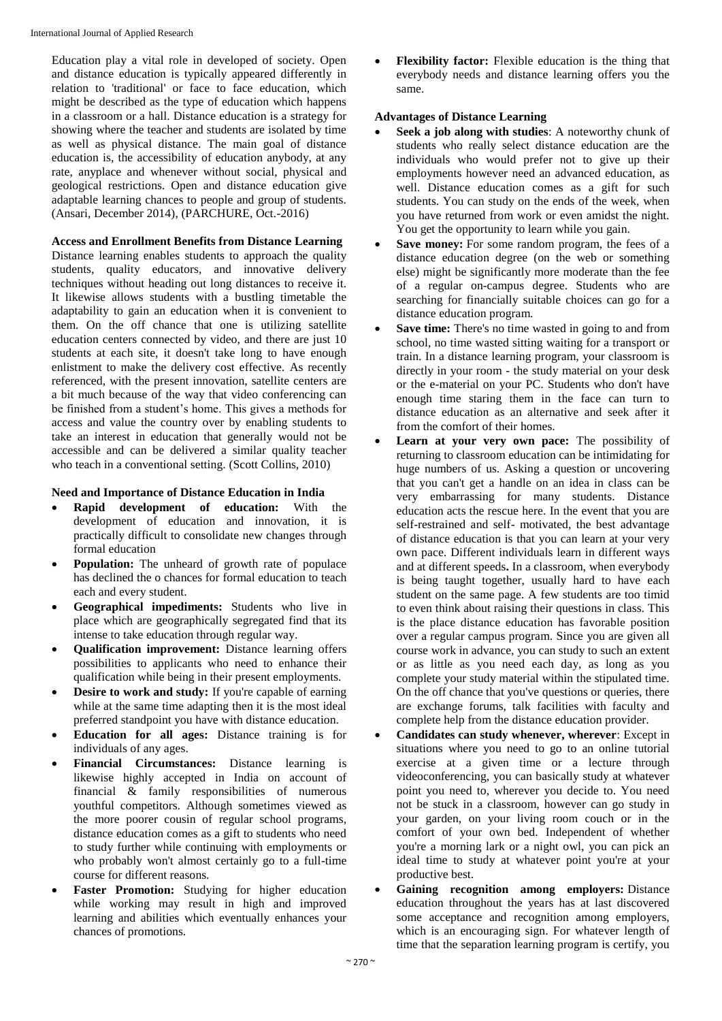Education play a vital role in developed of society. Open and distance education is typically appeared differently in relation to 'traditional' or face to face education, which might be described as the type of education which happens in a classroom or a hall. Distance education is a strategy for showing where the teacher and students are isolated by time as well as physical distance. The main goal of distance education is, the accessibility of education anybody, at any rate, anyplace and whenever without social, physical and geological restrictions. Open and distance education give adaptable learning chances to people and group of students. (Ansari, December 2014), (PARCHURE, Oct.-2016)

## **Access and Enrollment Benefits from Distance Learning**

Distance learning enables students to approach the quality students, quality educators, and innovative delivery techniques without heading out long distances to receive it. It likewise allows students with a bustling timetable the adaptability to gain an education when it is convenient to them. On the off chance that one is utilizing satellite education centers connected by video, and there are just 10 students at each site, it doesn't take long to have enough enlistment to make the delivery cost effective. As recently referenced, with the present innovation, satellite centers are a bit much because of the way that video conferencing can be finished from a student's home. This gives a methods for access and value the country over by enabling students to take an interest in education that generally would not be accessible and can be delivered a similar quality teacher who teach in a conventional setting. (Scott Collins, 2010)

#### **Need and Importance of Distance Education in India**

- **Rapid development of education:** With the development of education and innovation, it is practically difficult to consolidate new changes through formal education
- **Population:** The unheard of growth rate of populace has declined the o chances for formal education to teach each and every student.
- **Geographical impediments:** Students who live in place which are geographically segregated find that its intense to take education through regular way.
- **Qualification improvement:** Distance learning offers possibilities to applicants who need to enhance their qualification while being in their present employments.
- **Desire to work and study:** If you're capable of earning while at the same time adapting then it is the most ideal preferred standpoint you have with distance education.
- **Education for all ages:** Distance training is for individuals of any ages.
- **Financial Circumstances:** Distance learning is likewise highly accepted in India on account of financial & family responsibilities of numerous youthful competitors. Although sometimes viewed as the more poorer cousin of regular school programs, distance education comes as a gift to students who need to study further while continuing with employments or who probably won't almost certainly go to a full-time course for different reasons.
- **Faster Promotion:** Studying for higher education while working may result in high and improved learning and abilities which eventually enhances your chances of promotions.

 **Flexibility factor:** Flexible education is the thing that everybody needs and distance learning offers you the same.

#### **Advantages of Distance Learning**

- **Seek a job along with studies**: A noteworthy chunk of students who really select distance education are the individuals who would prefer not to give up their employments however need an advanced education, as well. Distance education comes as a gift for such students. You can study on the ends of the week, when you have returned from work or even amidst the night. You get the opportunity to learn while you gain.
- Save money: For some random program, the fees of a distance education degree (on the web or something else) might be significantly more moderate than the fee of a regular on-campus degree. Students who are searching for financially suitable choices can go for a distance education program.
- **Save time:** There's no time wasted in going to and from school, no time wasted sitting waiting for a transport or train. In a distance learning program, your classroom is directly in your room - the study material on your desk or the e-material on your PC. Students who don't have enough time staring them in the face can turn to distance education as an alternative and seek after it from the comfort of their homes.
- **Learn at your very own pace:** The possibility of returning to classroom education can be intimidating for huge numbers of us. Asking a question or uncovering that you can't get a handle on an idea in class can be very embarrassing for many students. Distance education acts the rescue here. In the event that you are self-restrained and self- motivated, the best advantage of distance education is that you can learn at your very own pace. Different individuals learn in different ways and at different speeds**.** In a classroom, when everybody is being taught together, usually hard to have each student on the same page. A few students are too timid to even think about raising their questions in class. This is the place distance education has favorable position over a regular campus program. Since you are given all course work in advance, you can study to such an extent or as little as you need each day, as long as you complete your study material within the stipulated time. On the off chance that you've questions or queries, there are exchange forums, talk facilities with faculty and complete help from the distance education provider.
- **Candidates can study whenever, wherever**: Except in situations where you need to go to an online tutorial exercise at a given time or a lecture through videoconferencing, you can basically study at whatever point you need to, wherever you decide to. You need not be stuck in a classroom, however can go study in your garden, on your living room couch or in the comfort of your own bed. Independent of whether you're a morning lark or a night owl, you can pick an ideal time to study at whatever point you're at your productive best.
- **Gaining recognition among employers:** Distance education throughout the years has at last discovered some acceptance and recognition among employers, which is an encouraging sign. For whatever length of time that the separation learning program is certify, you